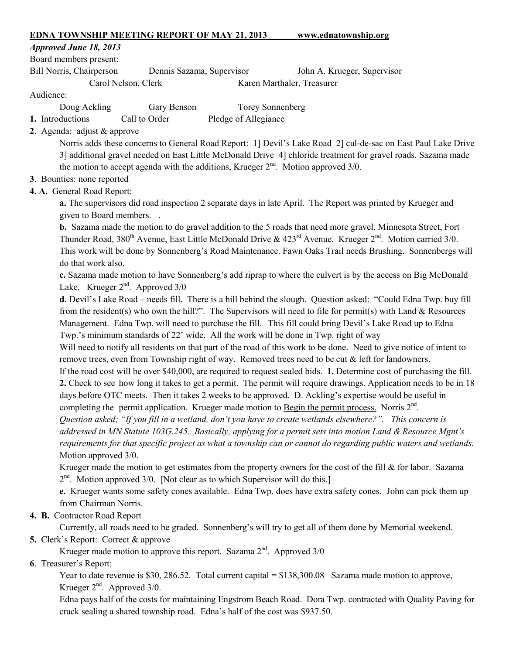#### EDNA TOWNSHIP MEETING REPORT OF MAY 21, 2013 www.ednatownship.org

#### *Approved June 18, 2013*

Board members present:

Bill Norris, Chairperson Dennis Sazama, Supervisor John A. Krueger, Supervisor

Carol Nelson, Clerk Karen Marthaler, Treasurer

#### Audience:

- Doug Ackling Gary Benson Torey Sonnenberg
- 1. Introductions Call to Order Pledge of Allegiance
- 2. Agenda: adjust & approve

Norris adds these concerns to General Road Report: 1] Devil's Lake Road 2] cul-de-sac on East Paul Lake Drive 3] additional gravel needed on East Little McDonald Drive 4] chloride treatment for gravel roads. Sazama made the motion to accept agenda with the additions, Krueger  $2<sup>nd</sup>$ . Motion approved  $3/0$ .

### 3. Bounties: none reported

# 4. A. General Road Report:

a. The supervisors did road inspection 2 separate days in late April. The Report was printed by Krueger and given to Board members. .

b. Sazama made the motion to do gravel addition to the 5 roads that need more gravel, Minnesota Street, Fort Thunder Road, 380<sup>th</sup> Avenue, East Little McDonald Drive & 423<sup>rd</sup> Avenue. Krueger 2<sup>nd</sup>. Motion carried 3/0. This work will be done by Sonnenberg's Road Maintenance. Fawn Oaks Trail needs Brushing. Sonnenbergs will do that work also.

c. Sazama made motion to have Sonnenberg's add riprap to where the culvert is by the access on Big McDonald Lake. Krueger  $2<sup>nd</sup>$ . Approved  $3/0$ 

d. Devil's Lake Road – needs fill. There is a hill behind the slough. Question asked: "Could Edna Twp. buy fill from the resident(s) who own the hill?". The Supervisors will need to file for permit(s) with Land  $\&$  Resources Management. Edna Twp. will need to purchase the fill. This fill could bring Devil's Lake Road up to Edna Twp.'s minimum standards of 22' wide. All the work will be done in Twp. right of way

Will need to notify all residents on that part of the road of this work to be done. Need to give notice of intent to remove trees, even from Township right of way. Removed trees need to be cut & left for landowners.

If the road cost will be over \$40,000, are required to request sealed bids. 1. Determine cost of purchasing the fill. 2. Check to see how long it takes to get a permit. The permit will require drawings. Application needs to be in 18 days before OTC meets. Then it takes 2 weeks to be approved. D. Ackling's expertise would be useful in completing the permit application. Krueger made motion to Begin the permit process. Norris  $2<sup>nd</sup>$ .

*Question asked; "If you fill in a wetland, don't you have to create wetlands elsewhere?". This concern is addressed in MN Statute 103G.245. Basically, applying for a permit sets into motion Land & Resource Mgnt's requirements for that specific project as what a township can or cannot do regarding public waters and wetlands.* Motion approved 3/0.

Krueger made the motion to get estimates from the property owners for the cost of the fill & for labor. Sazama  $2<sup>nd</sup>$ . Motion approved 3/0. [Not clear as to which Supervisor will do this.]

e. Krueger wants some safety cones available. Edna Twp. does have extra safety cones. John can pick them up from Chairman Norris.

# 4. B. Contractor Road Report

Currently, all roads need to be graded. Sonnenberg's will try to get all of them done by Memorial weekend.

# 5. Clerk's Report: Correct & approve

Krueger made motion to approve this report. Sazama  $2<sup>nd</sup>$ . Approved 3/0

6. Treasurer's Report:

Year to date revenue is \$30, 286.52. Total current capital = \$138,300.08 Sazama made motion to approve, Krueger  $2<sup>nd</sup>$ . Approved 3/0.

Edna pays half of the costs for maintaining Engstrom Beach Road. Dora Twp. contracted with Quality Paving for crack sealing a shared township road. Edna's half of the cost was \$937.50.